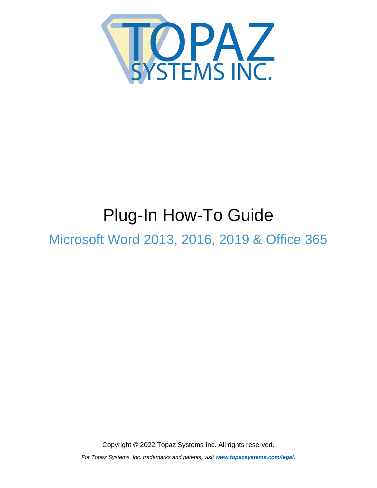<span id="page-0-0"></span>

# Plug-In How-To Guide

Microsoft Word 2013, 2016, 2019 & Office 365

Copyright © 2022 Topaz Systems Inc. All rights reserved.

*For Topaz Systems, Inc. trademarks and patents, visit [www.topazsystems.com/legal.](http://www.topazsystems.com/termsconditions.html)*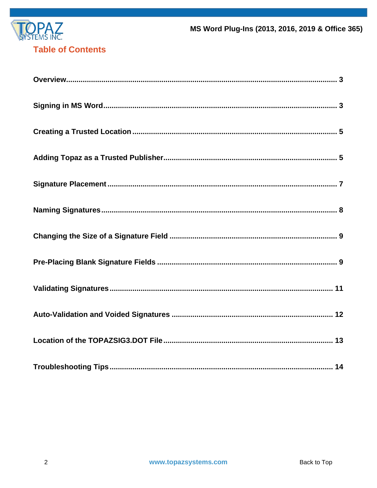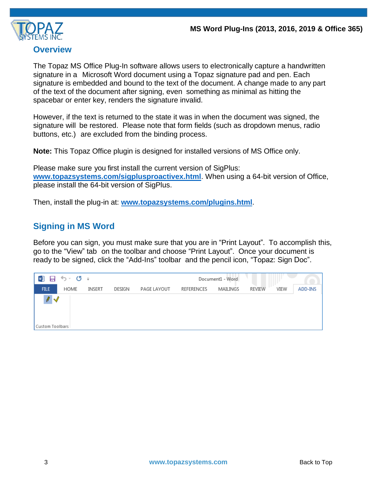

#### <span id="page-2-0"></span>**Overview**

The Topaz MS Office Plug-In software allows users to electronically capture a handwritten signature in a Microsoft Word document using a Topaz signature pad and pen. Each signature is embedded and bound to the text of the document. A change made to any part of the text of the document after signing, even something as minimal as hitting the spacebar or enter key, renders the signature invalid.

However, if the text is returned to the state it was in when the document was signed, the signature will be restored. Please note that form fields (such as dropdown menus, radio buttons, etc.) are excluded from the binding process.

**Note:** This Topaz Office plugin is designed for installed versions of MS Office only.

Please make sure you first install the current version of SigPlus: **[www.topazsystems.com/sigplusproactivex.html](http://www.topazsystems.com/sigplusproactivex.html)**. When using a 64-bit version of Office, please install the 64-bit version of SigPlus.

<span id="page-2-1"></span>Then, install the plug-in at: **[www.topazsystems.com/plugins.html](http://www.topazsystems.com/plugins.html)**.

# **Signing in MS Word**

Before you can sign, you must make sure that you are in "Print Layout". To accomplish this, go to the "View" tab on the toolbar and choose "Print Layout". Once your document is ready to be signed, click the "Add-Ins" toolbar and the pencil icon, "Topaz: Sign Doc".

| w∃<br>日                        | ゟ‐ぴ ゠ |        |        |             |            | Document1 - Word |               |      |         |
|--------------------------------|-------|--------|--------|-------------|------------|------------------|---------------|------|---------|
| FILE                           | HOME  | INSERT | DESIGN | PAGE LAYOUT | REFERENCES | MAILINGS         | <b>REVIEW</b> | VIEW | ADD-INS |
| $\ell \vee$<br>Custom Toolbars |       |        |        |             |            |                  |               |      |         |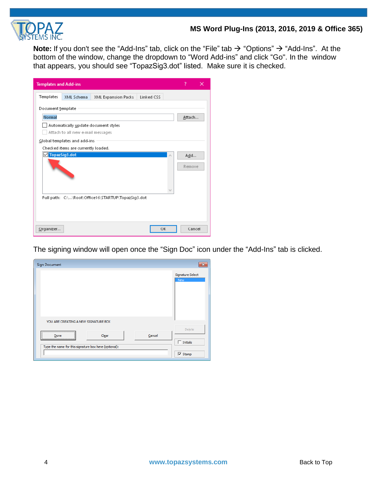

Note: If you don't see the "Add-Ins" tab, click on the "File" tab → "Options" → "Add-Ins". At the bottom of the window, change the dropdown to "Word Add-ins" and click "Go". In the window that appears, you should see "TopazSig3.dot" listed. Make sure it is checked.

| <b>Templates and Add-ins</b> |                                                                           |                                                    |            |   | 7      | × |
|------------------------------|---------------------------------------------------------------------------|----------------------------------------------------|------------|---|--------|---|
| Templates                    | XML Schema                                                                | XML Expansion Packs                                | Linked CSS |   |        |   |
| Document template            |                                                                           |                                                    |            |   |        |   |
| Normal                       |                                                                           |                                                    |            |   | Attach |   |
|                              | Automatically update document styles<br>Attach to all new e-mail messages |                                                    |            |   |        |   |
|                              | Global templates and add-ins                                              |                                                    |            |   |        |   |
|                              | Checked items are currently loaded.                                       |                                                    |            |   |        |   |
| VTopazSig3.dot               |                                                                           |                                                    |            | ۸ | Add    |   |
|                              |                                                                           |                                                    |            |   | Remove |   |
|                              |                                                                           | Full path: C:\\Root\Office16\STARTUP\TopazSig3.dot |            |   |        |   |
| Organizer                    |                                                                           |                                                    | OK         |   | Cancel |   |

The signing window will open once the "Sign Doc" icon under the "Add-Ins" tab is clicked.

| <b>Sign Document</b>                                  | $\mathbf{x}$              |
|-------------------------------------------------------|---------------------------|
|                                                       | Signature Select<br>New   |
| YOU ARE CREATING A NEW SIGNATURE BOX                  |                           |
| Clear<br>Cancel<br>Done                               | Delete<br>$\Box$ Initials |
| Type the name for this signature box here (optional): | $\nabla$ Stamp            |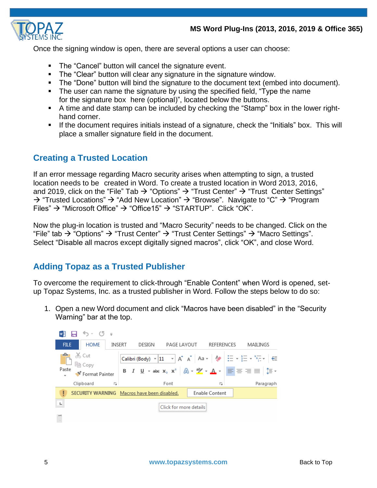

Once the signing window is open, there are several options a user can choose:

- The "Cancel" button will cancel the signature event.
- The "Clear" button will clear any signature in the signature window.
- The "Done" button will bind the signature to the document text (embed into document).
- The user can name the signature by using the specified field, "Type the name for the signature box here (optional)", located below the buttons.
- A time and date stamp can be included by checking the "Stamp" box in the lower righthand corner.
- <span id="page-4-0"></span>If the document requires initials instead of a signature, check the "Initials" box. This will place a smaller signature field in the document.

# **Creating a Trusted Location**

If an error message regarding Macro security arises when attempting to sign, a trusted location needs to be created in Word. To create a trusted location in Word 2013, 2016, and 2019, click on the "File" Tab  $\rightarrow$  "Options"  $\rightarrow$  "Trust Center"  $\rightarrow$  "Trust Center Settings" → "Trusted Locations" → "Add New Location" → "Browse". Navigate to "C" → "Program Files"  $\rightarrow$  "Microsoft Office"  $\rightarrow$  "Office15"  $\rightarrow$  "STARTUP". Click "OK".

Now the plug-in location is trusted and "Macro Security" needs to be changed. Click on the "File" tab  $\rightarrow$  "Options"  $\rightarrow$  "Trust Center"  $\rightarrow$  "Trust Center Settings"  $\rightarrow$  "Macro Settings". Select "Disable all macros except digitally signed macros", click "OK", and close Word.

# <span id="page-4-1"></span>**Adding Topaz as a Trusted Publisher**

To overcome the requirement to click-through "Enable Content" when Word is opened, setup Topaz Systems, Inc. as a trusted publisher in Word. Follow the steps below to do so:

1. Open a new Word document and click "Macros have been disabled" in the "Security Warning" bar at the top.

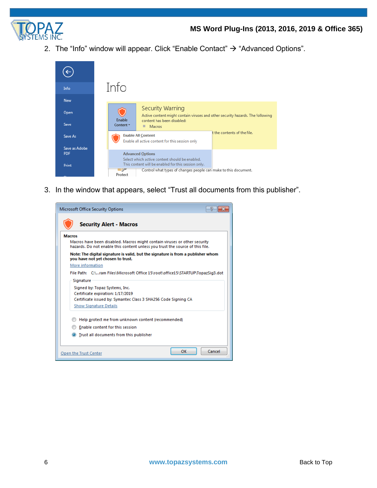

2. The "Info" window will appear. Click "Enable Contact"  $\rightarrow$  "Advanced Options".



3. In the window that appears, select "Trust all documents from this publisher".

| Microsoft Office Security Options                                                                                                                          |
|------------------------------------------------------------------------------------------------------------------------------------------------------------|
| <b>Security Alert - Macros</b>                                                                                                                             |
| <b>Macros</b>                                                                                                                                              |
| Macros have been disabled. Macros might contain viruses or other security<br>hazards. Do not enable this content unless you trust the source of this file. |
| Note: The digital signature is valid, but the signature is from a publisher whom<br>you have not yet chosen to trust.                                      |
| More information                                                                                                                                           |
| File Path: C:\ram Files\Microsoft Office 15\root\office15\STARTUP\TopazSig3.dot                                                                            |
| Signature                                                                                                                                                  |
| Signed by: Topaz Systems, Inc.                                                                                                                             |
| Certificate expiration: 1/17/2019                                                                                                                          |
| Certificate issued by: Symantec Class 3 SHA256 Code Signing CA                                                                                             |
| <b>Show Signature Details</b>                                                                                                                              |
| Help protect me from unknown content (recommended)                                                                                                         |
| Enable content for this session                                                                                                                            |
| • Trust all documents from this publisher                                                                                                                  |
| OK<br>Cancel<br>Open the Trust Center                                                                                                                      |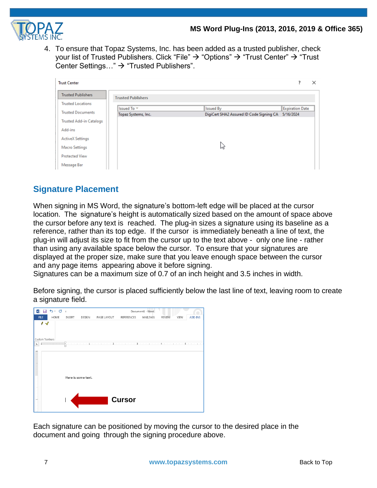

4. To ensure that Topaz Systems, Inc. has been added as a trusted publisher, check your list of Trusted Publishers. Click "File" → "Options" → "Trust Center" → "Trust Center Settings…" → "Trusted Publishers".

| <b>Trust Center</b>            |                           |                                          |                        | × |
|--------------------------------|---------------------------|------------------------------------------|------------------------|---|
| <b>Trusted Publishers</b>      | <b>Trusted Publishers</b> |                                          |                        |   |
| <b>Trusted Locations</b>       | Issued To $\overline{ }$  | <b>Issued By</b>                         | <b>Expiration Date</b> |   |
| <b>Trusted Documents</b>       | Topaz Systems, Inc.       | DigiCert SHA2 Assured ID Code Signing CA | 5/16/2024              |   |
| <b>Trusted Add-in Catalogs</b> |                           |                                          |                        |   |
| Add-ins                        |                           |                                          |                        |   |
| <b>ActiveX Settings</b>        |                           |                                          |                        |   |
| Macro Settings                 |                           | W                                        |                        |   |
| <b>Protected View</b>          |                           |                                          |                        |   |
| Message Bar                    |                           |                                          |                        |   |

# <span id="page-6-0"></span>**Signature Placement**

When signing in MS Word, the signature's bottom-left edge will be placed at the cursor location. The signature's height is automatically sized based on the amount of space above the cursor before any text is reached. The plug-in sizes a signature using its baseline as a reference, rather than its top edge. If the cursor is immediately beneath a line of text, the plug-in will adjust its size to fit from the cursor up to the text above - only one line - rather than using any available space below the cursor. To ensure that your signatures are displayed at the proper size, make sure that you leave enough space between the cursor and any page items appearing above it before signing.

Signatures can be a maximum size of 0.7 of an inch height and 3.5 inches in width.

Before signing, the cursor is placed sufficiently below the last line of text, leaving room to create a signature field.

| w∃                               | ち・ ぴ 。                        |        |                    |             |               | Document1 - Word |                                                                                                                                                                                                                              |         |
|----------------------------------|-------------------------------|--------|--------------------|-------------|---------------|------------------|------------------------------------------------------------------------------------------------------------------------------------------------------------------------------------------------------------------------------|---------|
| <b>FILE</b>                      | HOME                          | INSERT | DESIGN             | PAGE LAYOUT | REFERENCES    | MAILINGS         | REVIEW<br>VIEW                                                                                                                                                                                                               | ADD-INS |
| $\prime\sqrt$<br>Custom Toolbars |                               |        |                    |             |               |                  |                                                                                                                                                                                                                              |         |
| $\mathbf{L}_1$                   | $1$ , and the set of $\times$ |        |                    |             |               |                  | . The main constant of the set of the set $2$ , we can prove the $3$ -to-set of the set $4$ -to-set of the set of the set of the set of the set of the set of the set of the set of the set of the set of the set of the set |         |
|                                  |                               |        | Here is some text. |             |               |                  |                                                                                                                                                                                                                              |         |
|                                  |                               |        |                    |             | <b>Cursor</b> |                  |                                                                                                                                                                                                                              |         |

Each signature can be positioned by moving the cursor to the desired place in the document and going through the signing procedure above.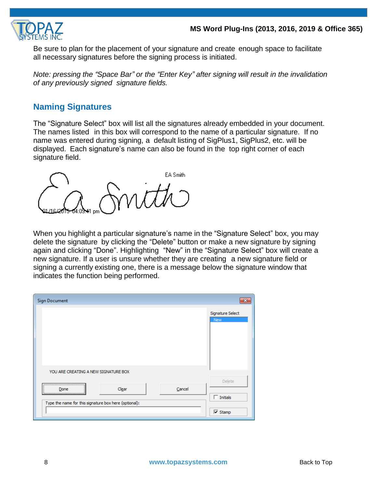

Be sure to plan for the placement of your signature and create enough space to facilitate all necessary signatures before the signing process is initiated.

*Note: pressing the "Space Bar" or the "Enter Key" after signing will result in the invalidation of any previously signed signature fields.*

# <span id="page-7-0"></span>**Naming Signatures**

The "Signature Select" box will list all the signatures already embedded in your document. The names listed in this box will correspond to the name of a particular signature. If no name was entered during signing, a default listing of SigPlus1, SigPlus2, etc. will be displayed. Each signature's name can also be found in the top right corner of each signature field.

EA Smith

When you highlight a particular signature's name in the "Signature Select" box, you may delete the signature by clicking the "Delete" button or make a new signature by signing again and clicking "Done". Highlighting "New" in the "Signature Select" box will create a new signature. If a user is unsure whether they are creating a new signature field or signing a currently existing one, there is a message below the signature window that indicates the function being performed.

| <b>Sign Document</b>                                  | x                                           |
|-------------------------------------------------------|---------------------------------------------|
|                                                       | Signature Select<br>New                     |
| YOU ARE CREATING A NEW SIGNATURE BOX                  |                                             |
| Cancel<br>Clear<br>Done                               | Delete<br>$\overline{\phantom{a}}$ Initials |
| Type the name for this signature box here (optional): | $\nabla$ Stamp                              |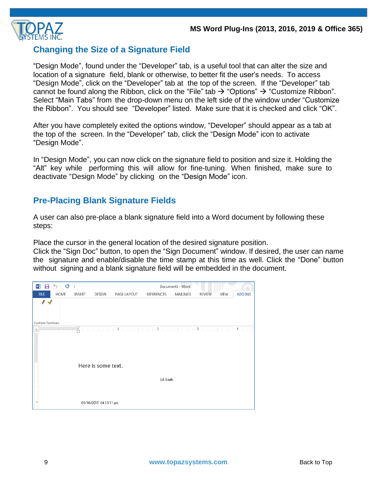

# <span id="page-8-0"></span>**Changing the Size of a Signature Field**

"Design Mode", found under the "Developer" tab, is a useful tool that can alter the size and location of a signature field, blank or otherwise, to better fit the user's needs. To access "Design Mode", click on the "Developer" tab at the top of the screen. If the "Developer" tab cannot be found along the Ribbon, click on the "File" tab  $\rightarrow$  "Options"  $\rightarrow$  "Customize Ribbon". Select "Main Tabs" from the drop-down menu on the left side of the window under "Customize the Ribbon". You should see "Developer" listed. Make sure that it is checked and click "OK".

After you have completely exited the options window, "Developer" should appear as a tab at the top of the screen. In the "Developer" tab, click the "Design Mode" icon to activate "Design Mode".

In "Design Mode", you can now click on the signature field to position and size it. Holding the "Alt" key while performing this will allow for fine-tuning. When finished, make sure to deactivate "Design Mode" by clicking on the "Design Mode" icon.

# <span id="page-8-1"></span>**Pre-Placing Blank Signature Fields**

A user can also pre-place a blank signature field into a Word document by following these steps:

Place the cursor in the general location of the desired signature position.

Click the "Sign Doc" button, to open the "Sign Document" window. If desired, the user can name the signature and enable/disable the time stamp at this time as well. Click the "Done" button without signing and a blank signature field will be embedded in the document.

| w∃<br>ы                   | ち‐ ぴ ÷                 |        |                        |                                                                                                                                                           |            | Document1 - Word |                       |         |
|---------------------------|------------------------|--------|------------------------|-----------------------------------------------------------------------------------------------------------------------------------------------------------|------------|------------------|-----------------------|---------|
| <b>FILE</b>               | HOME                   | INSERT | DESIGN                 | PAGE LAYOUT                                                                                                                                               | REFERENCES | MAILINGS         | <b>REVIEW</b><br>VIEW | ADD-INS |
| ∥<br>√<br>Custom Toolbars |                        |        |                        |                                                                                                                                                           |            |                  |                       |         |
| L                         | and the most control X |        |                        | where the problem is $\mathbf 1$ , the contribution of $\mathbf 2$ , the contribution of $\mathbf 3$ , the contribution of $\mathbf 4$ , the contribution |            |                  |                       |         |
|                           |                        |        | Here is some text.     |                                                                                                                                                           | EA Smith   |                  |                       |         |
|                           |                        |        | 01/16/2015 04:13:11 pm |                                                                                                                                                           |            |                  |                       |         |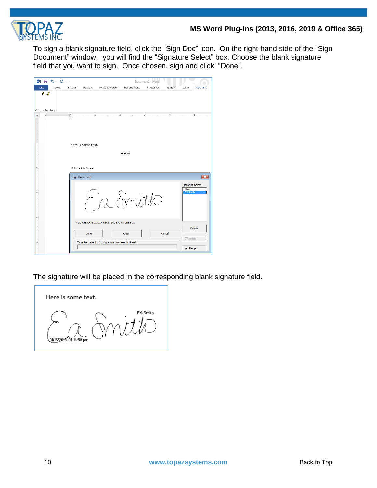

To sign a blank signature field, click the "Sign Doc" icon. On the right-hand side of the "Sign Document" window, you will find the "Signature Select" box. Choose the blank signature field that you want to sign. Once chosen, sign and click "Done".

|                                                                          |      |               |                        |                                                                                                                            |                   | Document1 - Word |               |                                                   |                         |
|--------------------------------------------------------------------------|------|---------------|------------------------|----------------------------------------------------------------------------------------------------------------------------|-------------------|------------------|---------------|---------------------------------------------------|-------------------------|
| <b>FILE</b>                                                              | HOME | <b>INSERT</b> | DESIGN                 | PAGE LAYOUT                                                                                                                | <b>REFERENCES</b> | MAILINGS         | <b>REVIEW</b> | VIEW                                              | ADD-INS                 |
| $\prime\,$<br>Custom Toolbars                                            |      |               |                        |                                                                                                                            |                   |                  |               |                                                   |                         |
| L.                                                                       | 1    |               |                        | $\overline{\chi}$ , and provide the company of $z$ , and provide $z$ , and provide $4$ , and provide $s$ , and provide $z$ |                   |                  |               |                                                   |                         |
|                                                                          |      |               | Here is some text.     |                                                                                                                            | EA Smith          |                  |               |                                                   |                         |
| $\label{eq:1}$                                                           |      |               |                        |                                                                                                                            |                   |                  |               |                                                   |                         |
| $\cdot$<br>$\sim$                                                        |      |               | 01/16/2015 04:13:11 pm |                                                                                                                            |                   |                  |               |                                                   |                         |
| $\sim$                                                                   |      |               | <b>Sign Document</b>   |                                                                                                                            |                   |                  |               |                                                   | $\overline{\mathbf{x}}$ |
| $\overline{\phantom{a}}$<br>$\sim$<br>$\overline{\phantom{a}}$<br>$\sim$ |      |               |                        |                                                                                                                            | mit               |                  |               | Signature Select<br><b>New</b><br><b>EA Smith</b> |                         |
|                                                                          |      |               |                        | YOU ARE CHANGING AN EXISTING SIGNATURE BOX                                                                                 |                   |                  |               |                                                   |                         |
| ٠<br>÷                                                                   |      |               | Done                   | Type the name for this signature box here (optional):                                                                      | Clear             |                  | Cancel        | $\Box$ Initials                                   | Delete                  |
|                                                                          |      |               |                        |                                                                                                                            |                   |                  |               | $\nabla$ Stamp                                    |                         |

The signature will be placed in the corresponding blank signature field.

Here is some text. EA Smith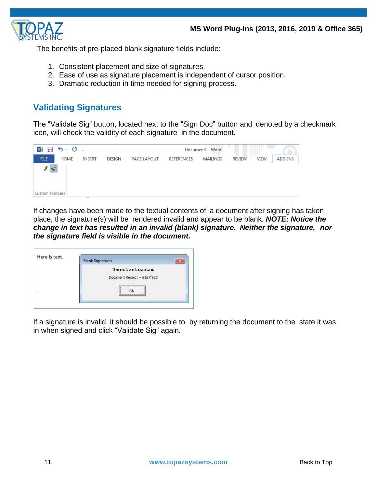

The benefits of pre-placed blank signature fields include:

- 1. Consistent placement and size of signatures.
- 2. Ease of use as signature placement is independent of cursor position.
- 3. Dramatic reduction in time needed for signing process.

# <span id="page-10-0"></span>**Validating Signatures**

The "Validate Sig" button, located next to the "Sign Doc" button and denoted by a checkmark icon, will check the validity of each signature in the document.



If changes have been made to the textual contents of a document after signing has taken place, the signature(s) will be rendered invalid and appear to be blank. *NOTE: Notice the change in text has resulted in an invalid (blank) signature. Neither the signature, nor the signature field is visible in the document.*

| Here is text. | <b>Blank Signatures</b>     |  |
|---------------|-----------------------------|--|
|               | There is 1 blank signature. |  |
|               | Document Receipt = e1a7f923 |  |
|               | <br>:                       |  |
|               |                             |  |

If a signature is invalid, it should be possible to by returning the document to the state it was in when signed and click "Validate Sig" again.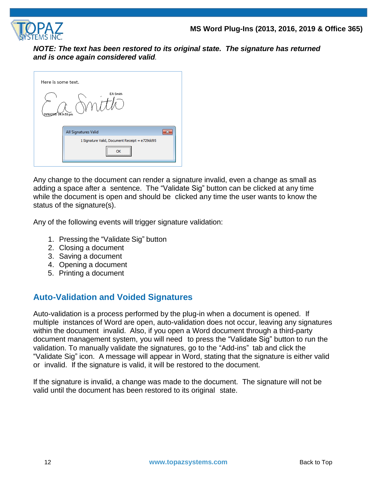

*NOTE: The text has been restored to its original state. The signature has returned and is once again considered valid.*

| Here is some text.                             |
|------------------------------------------------|
| EA Smith<br>01/16/2015 04:14:59 pm             |
| All Signatures Valid                           |
| 1 Signature Valid, Document Receipt = e729dd95 |
| <br>:                                          |

Any change to the document can render a signature invalid, even a change as small as adding a space after a sentence. The "Validate Sig" button can be clicked at any time while the document is open and should be clicked any time the user wants to know the status of the signature(s).

Any of the following events will trigger signature validation:

- 1. Pressing the "Validate Sig" button
- 2. Closing a document
- 3. Saving a document
- 4. Opening a document
- 5. Printing a document

# <span id="page-11-0"></span>**Auto-Validation and Voided Signatures**

Auto-validation is a process performed by the plug-in when a document is opened. If multiple instances of Word are open, auto-validation does not occur, leaving any signatures within the document invalid. Also, if you open a Word document through a third-party document management system, you will need to press the "Validate Sig" button to run the validation. To manually validate the signatures, go to the "Add-ins" tab and click the "Validate Sig" icon. A message will appear in Word, stating that the signature is either valid or invalid. If the signature is valid, it will be restored to the document.

If the signature is invalid, a change was made to the document. The signature will not be valid until the document has been restored to its original state.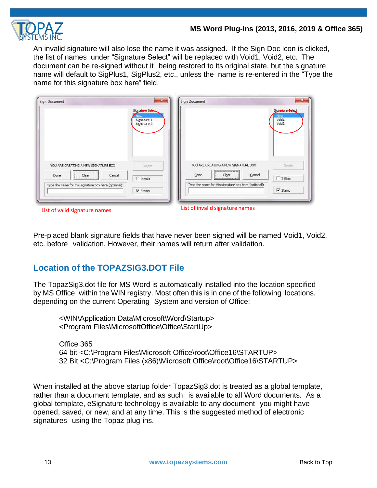

An invalid signature will also lose the name it was assigned. If the Sign Doc icon is clicked, the list of names under "Signature Select" will be replaced with Void1, Void2, etc. The document can be re-signed without it being restored to its original state, but the signature name will default to SigPlus1, SigPlus2, etc., unless the name is re-entered in the "Type the name for this signature box here" field.

| Sign Document                                         | $\mathbf{x}$<br>Signature Selec<br>Signature 1<br>Signature 2 | Sign Document                                                                    | $\mathbf{z}$<br>Signature Select<br>New<br>Void 1<br>Void2 |
|-------------------------------------------------------|---------------------------------------------------------------|----------------------------------------------------------------------------------|------------------------------------------------------------|
| YOU ARE CREATING A NEW SIGNATURE BOX                  | Delete                                                        | YOU ARE CREATING A NEW SIGNATURE BOX                                             | Delete                                                     |
| Done<br>Cancel<br>Clear                               | $\Gamma$ Initials                                             | Cancel<br>Done<br>Clear<br>Type the name for this signature box here (optional): | $\Gamma$ Initials                                          |
| Type the name for this signature box here (optional): | $\nabla$ Stamp                                                |                                                                                  | $\overline{\mathbf{v}}$ Stamp                              |

Pre-placed blank signature fields that have never been signed will be named Void1, Void2, etc. before validation. However, their names will return after validation.

# <span id="page-12-0"></span>**Location of the TOPAZSIG3.DOT File**

The TopazSig3.dot file for MS Word is automatically installed into the location specified by MS Office within the WIN registry. Most often this is in one of the following locations, depending on the current Operating System and version of Office:

<WIN\Application Data\Microsoft\Word\Startup> <Program Files\MicrosoftOffice\Office\StartUp>

Office 365 64 bit <C:\Program Files\Microsoft Office\root\Office16\STARTUP> 32 Bit <C:\Program Files (x86)\Microsoft Office\root\Office16\STARTUP>

<span id="page-12-1"></span>When installed at the above startup folder TopazSig3.dot is treated as a global template, rather than a document template, and as such is available to all Word documents. As a global template, eSignature technology is available to any document you might have opened, saved, or new, and at any time. This is the suggested method of electronic signatures using the Topaz plug-ins.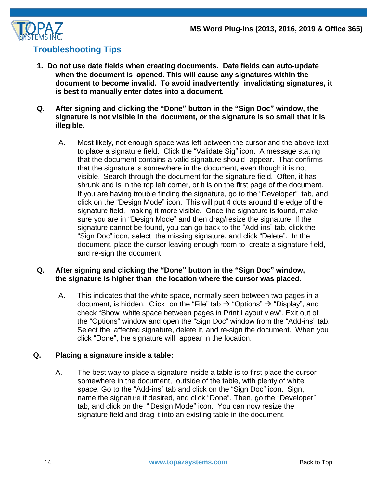

# **Troubleshooting Tips**

- **1. Do not use date fields when creating documents. Date fields can auto-update when the document is opened. This will cause any signatures within the document to become invalid. To avoid inadvertently invalidating signatures, it is best to manually enter dates into a document.**
- **Q. After signing and clicking the "Done" button in the "Sign Doc" window, the signature is not visible in the document, or the signature is so small that it is illegible.**
	- A. Most likely, not enough space was left between the cursor and the above text to place a signature field. Click the "Validate Sig" icon. A message stating that the document contains a valid signature should appear. That confirms that the signature is somewhere in the document, even though it is not visible. Search through the document for the signature field. Often, it has shrunk and is in the top left corner, or it is on the first page of the document. If you are having trouble finding the signature, go to the "Developer" tab, and click on the "Design Mode" icon. This will put 4 dots around the edge of the signature field, making it more visible. Once the signature is found, make sure you are in "Design Mode" and then drag/resize the signature. If the signature cannot be found, you can go back to the "Add-ins" tab, click the "Sign Doc" icon, select the missing signature, and click "Delete". In the document, place the cursor leaving enough room to create a signature field, and re-sign the document.

#### **Q. After signing and clicking the "Done" button in the "Sign Doc" window, the signature is higher than the location where the cursor was placed.**

A. This indicates that the white space, normally seen between two pages in a document, is hidden. Click on the "File" tab  $\rightarrow$  "Options"  $\rightarrow$  "Display", and check "Show white space between pages in Print Layout view". Exit out of the "Options" window and open the "Sign Doc" window from the "Add-ins" tab. Select the affected signature, delete it, and re-sign the document. When you click "Done", the signature will appear in the location.

#### **Q. Placing a signature inside a table:**

A. The best way to place a signature inside a table is to first place the cursor somewhere in the document, outside of the table, with plenty of white space. Go to the "Add-ins" tab and click on the "Sign Doc" icon. Sign, name the signature if desired, and click "Done". Then, go the "Developer" tab, and click on the " Design Mode" icon. You can now resize the signature field and drag it into an existing table in the document.